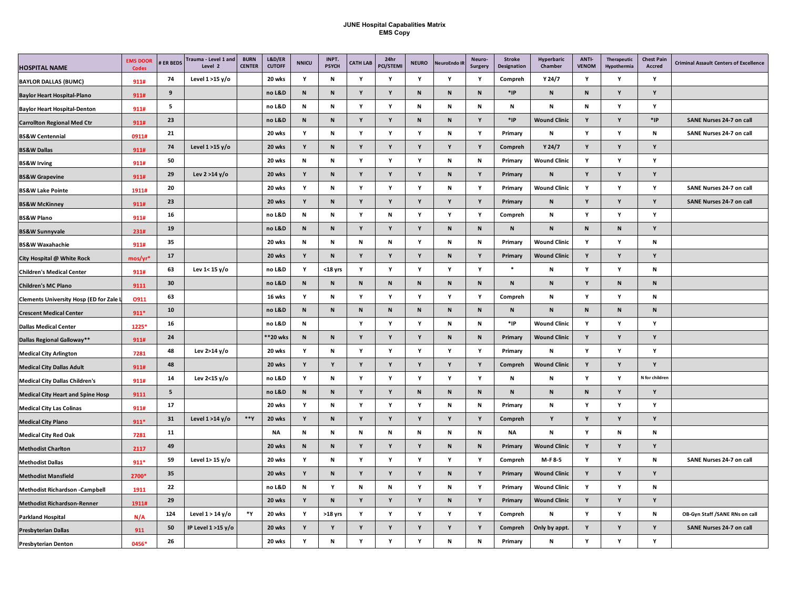## **JUNE Hospital Capabalities Matrix EMS Copy**

| <b>HOSPITAL NAME</b>                           | <b>EMS DOOR</b><br><b>Codes</b> | <b>ER BEDS</b> | Trauma - Level 1 and<br>Level 2 | <b>BURN</b><br><b>CENTER</b> | L&D/ER<br><b>CUTOFF</b> | <b>NNICU</b> | INPT.<br><b>PSYCH</b> | <b>CATH LAB</b> | 24hr<br><b>PCI/STEMI</b> | <b>NEURO</b> | <b>NeuroEndo II</b> | Neuro-<br>Surgery | <b>Stroke</b><br>Designation | Hyperbaric<br>Chamber | ANTI-<br><b>VENOM</b> | Therapeutic<br>Hypothermia | <b>Chest Pain</b><br>Accred | <b>Criminal Assault Centers of Excellence</b> |
|------------------------------------------------|---------------------------------|----------------|---------------------------------|------------------------------|-------------------------|--------------|-----------------------|-----------------|--------------------------|--------------|---------------------|-------------------|------------------------------|-----------------------|-----------------------|----------------------------|-----------------------------|-----------------------------------------------|
| <b>BAYLOR DALLAS (BUMC)</b>                    | 911#                            | 74             | Level $1 > 15$ y/o              |                              | 20 wks                  | Υ            | N                     | Υ               | Υ                        | Y            | Y                   | Y                 | Compreh                      | Y 24/7                | Y                     | Υ                          | Y                           |                                               |
| <b>Baylor Heart Hospital-Plano</b>             | 911#                            | 9              |                                 |                              | no L&D                  | ${\sf N}$    | N                     | Υ               | Υ                        | $\mathbf N$  | N                   | ${\bf N}$         | *IP                          | ${\bf N}$             | $\mathsf{N}$          | Y                          | Y                           |                                               |
| <b>Baylor Heart Hospital-Denton</b>            | 911#                            | 5              |                                 |                              | no L&D                  | N            | N                     | Υ               | Y                        | N            | N                   | N                 | N                            | N                     | N                     | Y                          | Y                           |                                               |
| <b>Carrollton Regional Med Ctr</b>             | 911#                            | 23             |                                 |                              | no L&D                  | N            | N                     | Y               | Y                        | N            | $\hbox{\bf N}$      | Y                 | $*$ IP                       | <b>Wound Clinic</b>   | Y                     | Y                          | $*$ <sub>IP</sub>           | SANE Nurses 24-7 on call                      |
| <b>BS&amp;W Centennial</b>                     | 0911#                           | 21             |                                 |                              | 20 wks                  | Y            | N                     | Υ               | Y                        | Y            | N                   | Y                 | Primary                      | N                     | Y                     | Y                          | N                           | SANE Nurses 24-7 on call                      |
| <b>BS&amp;W Dallas</b>                         | 911#                            | 74             | Level 1 >15 y/o                 |                              | 20 wks                  | Y            | N                     | Υ               | Y                        | Υ            | Y                   | Y                 | Compreh                      | Y 24/7                | Y                     | Y                          | Y                           |                                               |
| <b>BS&amp;W Irving</b>                         | 911#                            | 50             |                                 |                              | 20 wks                  | $\mathbf N$  | N                     | Y               | Y                        | Y            | N                   | N                 | Primary                      | <b>Wound Clinic</b>   | Y                     | Y                          | Y                           |                                               |
| <b>BS&amp;W Grapevine</b>                      | 911#                            | 29             | Lev $2 > 14$ y/o                |                              | 20 wks                  | Y            | $\mathbf N$           | Y               | Y                        | Y            | ${\sf N}$           | Υ                 | Primary                      | N                     | Y                     | Y                          | Y                           |                                               |
| <b>BS&amp;W Lake Pointe</b>                    | 1911#                           | 20             |                                 |                              | 20 wks                  | Y            | N                     | Y               | Y                        | Υ            | N                   | Y                 | Primary                      | <b>Wound Clinic</b>   | Υ                     | Υ                          | Y                           | SANE Nurses 24-7 on call                      |
| <b>BS&amp;W McKinney</b>                       | 911#                            | 23             |                                 |                              | 20 wks                  | Y            | N                     | Y               | $\mathbf Y$              | Υ            | Y                   | Y                 | Primary                      | N                     | Y                     | Y                          | Y                           | SANE Nurses 24-7 on call                      |
| <b>BS&amp;W Plano</b>                          | 911#                            | 16             |                                 |                              | no L&D                  | Ν            | N                     | Υ               | ${\sf N}$                | Υ            | Y                   | Y                 | Compreh                      | N                     | Y                     | Υ                          | Y                           |                                               |
| <b>BS&amp;W Sunnyvale</b>                      | 231#                            | 19             |                                 |                              | no L&D                  | N            | N                     | Υ               | Y                        | Υ            | ${\sf N}$           | N                 | ${\sf N}$                    | N                     | N                     | N                          | Y                           |                                               |
| <b>BS&amp;W Waxahachie</b>                     | 911#                            | 35             |                                 |                              | 20 wks                  | N            | N                     | $\mathbf N$     | N                        | Y            | N                   | N                 | Primary                      | <b>Wound Clinic</b>   | Y                     | Y                          | N                           |                                               |
| City Hospital @ White Rock                     | $mos/yr*$                       | 17             |                                 |                              | 20 wks                  | Y            | ${\sf N}$             | Y               | Y                        | Υ            | ${\sf N}$           | Y                 | Primary                      | <b>Wound Clinic</b>   | Y                     | Υ                          | Y                           |                                               |
| <b>Children's Medical Center</b>               | 911#                            | 63             | Lev 1< 15 y/o                   |                              | no L&D                  | Y            | $18$ yrs              | Y               | Y                        | Y            | Y                   | Y                 | $\ast$                       | Ν                     | Υ                     | Y                          | N                           |                                               |
| <b>Children's MC Plano</b>                     | 9111                            | 30             |                                 |                              | no L&D                  | N            | ${\sf N}$             | ${\sf N}$       | ${\sf N}$                | ${\sf N}$    | ${\sf N}$           | ${\sf N}$         | ${\sf N}$                    | ${\sf N}$             | Y                     | N                          | ${\sf N}$                   |                                               |
| <b>Clements University Hosp (ED for Zale L</b> | 0911                            | 63             |                                 |                              | 16 wks                  | Υ            | N                     | Y               | Y                        | Y            | Y                   | Y                 | Compreh                      | N                     | Υ                     | Y                          | N                           |                                               |
| <b>Crescent Medical Center</b>                 | $911*$                          | 10             |                                 |                              | no L&D                  | N            | N                     | N               | $\,$ N                   | N            | ${\sf N}$           | N                 | ${\sf N}$                    | ${\bf N}$             | $\mathsf N$           | N                          | N                           |                                               |
| <b>Dallas Medical Center</b>                   | 1225*                           | 16             |                                 |                              | no L&D                  | N            |                       | Y               | Y                        | Y            | $\mathsf N$         | N                 | *IP                          | <b>Wound Clinic</b>   | Y                     | Y                          | Y                           |                                               |
| Dallas Regional Galloway**                     | 911#                            | 24             |                                 |                              | **20 wks                | ${\sf N}$    | ${\sf N}$             | Y               | Y                        | Υ            | ${\sf N}$           | ${\sf N}$         | Primary                      | <b>Wound Clinic</b>   | Y                     | Y                          | Y                           |                                               |
| <b>Medical City Arlington</b>                  | 7281                            | 48             | Lev 2>14 y/o                    |                              | 20 wks                  | Y            | $\mathsf N$           | Y               | Y                        | Y            | Y                   | Y                 | Primary                      | Ν                     | Y                     | Y                          | Y                           |                                               |
| <b>Medical City Dallas Adult</b>               | 911#                            | 48             |                                 |                              | 20 wks                  | Y            | Y                     | Y               | Y                        | Y            | Y                   | Υ                 | Compreh                      | <b>Wound Clinic</b>   | Y                     | Y                          | Y                           |                                               |
| <b>Medical City Dallas Children's</b>          | 911#                            | 14             | Lev $2<$ 15 y/o                 |                              | no L&D                  | Υ            | N                     | Υ               | Y                        | Y            | Y                   | Y                 | Ν                            | N                     | Y                     | Y                          | N for children              |                                               |
| <b>Medical City Heart and Spine Hosp</b>       | 9111                            | 5              |                                 |                              | no L&D                  | ${\sf N}$    | N                     | Υ               | Y                        | $\mathbf N$  | ${\sf N}$           | ${\bf N}$         | ${\sf N}$                    | ${\bf N}$             | N                     | Y                          | Y                           |                                               |
| <b>Medical City Las Colinas</b>                | 911#                            | 17             |                                 |                              | 20 wks                  | Y            | ${\sf N}$             | Υ               | Y                        | Y            | N                   | N                 | Primary                      | N                     | Y                     | Y                          | Y                           |                                               |
| <b>Medical City Plano</b>                      | $911*$                          | 31             | Level $1 > 14$ y/o              | **Υ                          | 20 wks                  | Y            | ${\sf N}$             | Υ               | Y                        | Y            | Y                   | Y                 | Compreh                      | Y                     | Y                     | Y                          | Y                           |                                               |
| <b>Medical City Red Oak</b>                    | 7281                            | 11             |                                 |                              | NA                      | N            | N                     | N               | N                        | N            | N                   | N                 | NA                           | N                     | Y                     | N                          | N                           |                                               |
| <b>Methodist Charlton</b>                      | 2117                            | 49             |                                 |                              | 20 wks                  | N            | N                     | Υ               | Y                        | Y            | $\mathsf N$         | ${\sf N}$         | Primary                      | <b>Wound Clinic</b>   | Y                     | Y                          | Y                           |                                               |
| <b>Methodist Dallas</b>                        | $911*$                          | 59             | Level 1> 15 y/o                 |                              | 20 wks                  | Y            | N                     | Y               | Y                        | Y            | Y                   | Y                 | Compreh                      | M-F 8-5               | Y                     | Y                          | N                           | SANE Nurses 24-7 on call                      |
| <b>Methodist Mansfield</b>                     | 2700*                           | 35             |                                 |                              | 20 wks                  | Y            | $\mathbf N$           | Y               | Y                        | Y            | ${\sf N}$           | Y                 | Primary                      | <b>Wound Clinic</b>   | Y                     | Y                          | Y                           |                                               |
| <b>Methodist Richardson -Campbell</b>          | 1911                            | 22             |                                 |                              | no L&D                  | N            | Y                     | N               | N                        | Y            | N                   | Y                 | Primary                      | <b>Wound Clinic</b>   | Υ                     | Y                          | N                           |                                               |
| <b>Methodist Richardson-Renner</b>             | 1911#                           | 29             |                                 |                              | 20 wks                  | Y            | ${\sf N}$             | Y               | Y                        | Y            | $\hbox{\bf N}$      | Y                 | Primary                      | <b>Wound Clinic</b>   | Y                     | Y                          | Y                           |                                               |
| <b>Parkland Hospital</b>                       | N/A                             | 124            | Level $1 > 14$ y/o              | *Y                           | 20 wks                  | Υ            | >18 yrs               | Υ               | Y                        | Υ            | Υ                   | Υ                 | Compreh                      | N                     | Y                     | Υ                          | N                           | OB-Gyn Staff /SANE RNs on call                |
| <b>Presbyterian Dallas</b>                     | 911                             | 50             | IP Level 1 >15 y/o              |                              | 20 wks                  | Y            | Y                     | Υ               | Υ                        | Υ            | Υ                   | Υ                 | Compreh                      | Only by appt.         | Y                     | Y                          | Y                           | SANE Nurses 24-7 on call                      |
| <b>Presbyterian Denton</b>                     | 0456*                           | 26             |                                 |                              | 20 wks                  | Y            | N                     | Y               | Y                        | Y            | N                   | N                 | Primary                      | N                     | Y                     | Υ                          | Y                           |                                               |